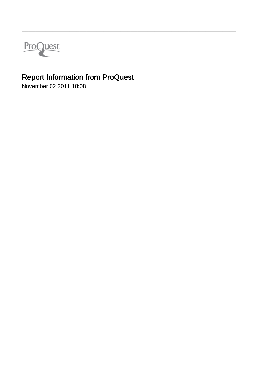

# **Report Information from ProQuest**

November 02 2011 18:08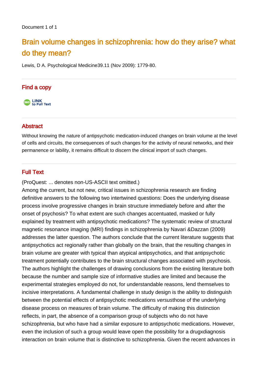# Brain volume changes in schizophrenia: how do they arise? what do they mean? Ĭ

**\_\_\_\_\_\_\_\_\_\_\_\_\_\_\_\_\_\_\_\_\_\_\_\_\_\_\_\_\_\_\_\_\_\_\_\_\_\_\_\_\_\_\_\_\_\_\_\_\_\_\_\_\_\_\_\_\_\_\_\_\_\_\_**

Lewis, D A. Psychological Medicine39. 11 (Nov 2009): 1779-80.

## Find a copy

LINK<br>to Full Text

# Abstract

Without knowing the nature of antipsychotic medication-induced changes on brain volume at the level of cells and circuits, the consequences of such changes for the activity of neural networks, and their permanence or lability, it remains difficult to discern the clinical import of such changes.

**\_\_\_\_\_\_\_\_\_\_\_\_\_\_\_\_\_\_\_\_\_\_\_\_\_\_\_\_\_\_\_\_\_\_\_\_\_\_\_\_\_\_\_\_\_\_\_\_\_\_\_\_\_\_\_\_\_\_\_\_\_\_\_**

**\_\_\_\_\_\_\_\_\_\_\_\_\_\_\_\_\_\_\_\_\_\_\_\_\_\_\_\_\_\_\_\_\_\_\_\_\_\_\_\_\_\_\_\_\_\_\_\_\_\_\_\_\_\_\_\_\_\_\_\_\_\_\_**

# Full Text

(ProQuest: ... denotes non-US-ASCII text omitted.)

Among the current, but not new, critical issues in schizophrenia research are finding definitive answers to the following two intertwined questions: Does the underlying disease process involve progressive changes in brain structure immediately before and after the onset of psychosis? To what extent are such changes accentuated, masked or fully explained by treatment with antipsychotic medications? The systematic review of structural magnetic resonance imaging (MRI) findings in schizophrenia by Navari &Dazzan (2009) addresses the latter question. The authors conclude that the current literature suggests that antipsychotics act regionally rather than globally on the brain, that the resulting changes in brain volume are greater with typical than atypical antipsychotics, and that antipsychotic treatment potentially contributes to the brain structural changes associated with psychosis. The authors highlight the challenges of drawing conclusions from the existing literature both because the number and sample size of informative studies are limited and because the experimental strategies employed do not, for understandable reasons, lend themselves to incisive interpretations. A fundamental challenge in study design is the ability to distinguish between the potential effects of antipsychotic medications versusthose of the underlying disease process on measures of brain volume. The difficulty of making this distinction reflects, in part, the absence of a comparison group of subjects who do not have schizophrenia, but who have had a similar exposure to antipsychotic medications. However, even the inclusion of such a group would leave open the possibility for a drugxdiagnosis interaction on brain volume that is distinctive to schizophrenia. Given the recent advances in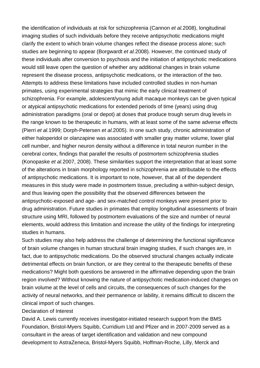the identification of individuals at risk for schizophrenia (Cannon et al.2008), longitudinal imaging studies of such individuals before they receive antipsychotic medications might clarify the extent to which brain volume changes reflect the disease process alone; such studies are beginning to appear (Borgwardt et al.2008). However, the continued study of these individuals after conversion to psychosis and the initiation of antipsychotic medications would still leave open the question of whether any additional changes in brain volume represent the disease process, antipsychotic medications, or the interaction of the two. Attempts to address these limitations have included controlled studies in non-human primates, using experimental strategies that mimic the early clinical treatment of schizophrenia. For example, adolescent/young adult macaque monkeys can be given typical or atypical antipsychotic medications for extended periods of time (years) using drug administration paradigms (oral or depot) at doses that produce trough serum drug levels in the range known to be therapeutic in humans, with at least some of the same adverse effects (Pierri et al.1999; Dorph-Petersen et al.2005). In one such study, chronic administration of either haloperidol or olanzapine was associated with smaller gray matter volume, lower glial cell number, and higher neuron density without a difference in total neuron number in the cerebral cortex, findings that parallel the results of postmortem schizophrenia studies (Konopaske et al.2007, 2008). These similarities support the interpretation that at least some of the alterations in brain morphology reported in schizophrenia are attributable to the effects of antipsychotic medications. It is important to note, however, that all of the dependent measures in this study were made in postmortem tissue, precluding a within-subject design, and thus leaving open the possibility that the observed differences between the antipsychotic-exposed and age- and sex-matched control monkeys were present prior to drug administration. Future studies in primates that employ longitudinal assessments of brain structure using MRI, followed by postmortem evaluations of the size and number of neural elements, would address this limitation and increase the utility of the findings for interpreting studies in humans.

Such studies may also help address the challenge of determining the functional significance of brain volume changes in human structural brain imaging studies, if such changes are, in fact, due to antipsychotic medications. Do the observed structural changes actually indicate detrimental effects on brain function, or are they central to the therapeutic benefits of these medications? Might both questions be answered in the affirmative depending upon the brain region involved? Without knowing the nature of antipsychotic medication-induced changes on brain volume at the level of cells and circuits, the consequences of such changes for the activity of neural networks, and their permanence or lability, it remains difficult to discern the clinical import of such changes.

#### Declaration of Interest

David A. Lewis currently receives investigator-initiated research support from the BMS Foundation, Bristol-Myers Squibb, Curridium Ltd and Pfizer and in 2007-2009 served as a consultant in the areas of target identification and validation and new compound development to AstraZeneca, Bristol-Myers Squibb, Hoffman-Roche, Lilly, Merck and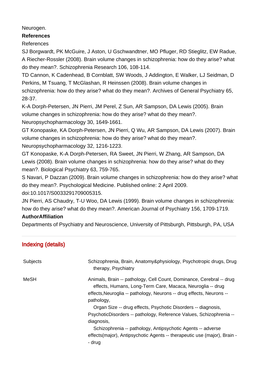### Neurogen.

### **References**

References

SJ Borgwardt, PK McGuire, J Aston, U Gschwandtner, MO Pfluger, RD Stieglitz, EW Radue, A Riecher-Rossler (2008). Brain volume changes in schizophrenia: how do they arise? what do they mean?. Schizophrenia Research 106, 108-114.

TD Cannon, K Cadenhead, B Cornblatt, SW Woods, J Addington, E Walker, LJ Seidman, D Perkins, M Tsuang, T McGlashan, R Heinssen (2008). Brain volume changes in

schizophrenia: how do they arise? what do they mean?. Archives of General Psychiatry 65, 28-37.

K-A Dorph-Petersen, JN Pierri, JM Perel, Z Sun, AR Sampson, DA Lewis (2005). Brain volume changes in schizophrenia: how do they arise? what do they mean?.

Neuropsychopharmacology 30, 1649-1661.

GT Konopaske, KA Dorph-Petersen, JN Pierri, Q Wu, AR Sampson, DA Lewis (2007). Brain volume changes in schizophrenia: how do they arise? what do they mean?.

Neuropsychopharmacology 32, 1216-1223.

GT Konopaske, K-A Dorph-Petersen, RA Sweet, JN Pierri, W Zhang, AR Sampson, DA Lewis (2008). Brain volume changes in schizophrenia: how do they arise? what do they mean?. Biological Psychiatry 63, 759-765.

S Navari, P Dazzan (2009). Brain volume changes in schizophrenia: how do they arise? what do they mean?. Psychological Medicine. Published online: 2 April 2009.

doi:10.1017/S0033291709005315.

JN Pierri, AS Chaudry, T-U Woo, DA Lewis (1999). Brain volume changes in schizophrenia: how do they arise? what do they mean?. American Journal of Psychiatry 156, 1709-1719.

## **AuthorAffiliation**

Departments of Psychiatry and Neuroscience, University of Pittsburgh, Pittsburgh, PA, USA

**\_\_\_\_\_\_\_\_\_\_\_\_\_\_\_\_\_\_\_\_\_\_\_\_\_\_\_\_\_\_\_\_\_\_\_\_\_\_\_\_\_\_\_\_\_\_\_\_\_\_\_\_\_\_\_\_\_\_\_\_\_\_\_**

| <b>Indexing (details)</b> |  |
|---------------------------|--|
|                           |  |

| <b>Subjects</b> | Schizophrenia, Brain, Anatomy&physiology, Psychotropic drugs, Drug<br>therapy, Psychiatry                                                                                                                                                                                                                                                                                                                                                                                                                                           |
|-----------------|-------------------------------------------------------------------------------------------------------------------------------------------------------------------------------------------------------------------------------------------------------------------------------------------------------------------------------------------------------------------------------------------------------------------------------------------------------------------------------------------------------------------------------------|
| <b>MeSH</b>     | Animals, Brain -- pathology, Cell Count, Dominance, Cerebral -- drug<br>effects, Humans, Long-Term Care, Macaca, Neuroglia -- drug<br>effects, Neuroglia -- pathology, Neurons -- drug effects, Neurons --<br>pathology,<br>Organ Size -- drug effects, Psychotic Disorders -- diagnosis,<br>PsychoticDisorders -- pathology, Reference Values, Schizophrenia --<br>diagnosis,<br>Schizophrenia -- pathology, Antipsychotic Agents -- adverse<br>effects(major), Antipsychotic Agents -- therapeutic use (major), Brain -<br>- drug |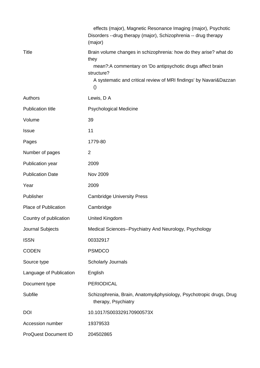|                             | effects (major), Magnetic Resonance Imaging (major), Psychotic<br>Disorders --drug therapy (major), Schizophrenia -- drug therapy<br>(major)                                                                                                     |
|-----------------------------|--------------------------------------------------------------------------------------------------------------------------------------------------------------------------------------------------------------------------------------------------|
| <b>Title</b>                | Brain volume changes in schizophrenia: how do they arise? what do<br>they<br>mean?: A commentary on 'Do antipsychotic drugs affect brain<br>structure?<br>A systematic and critical review of MRI findings' by Navari&Dazzan<br>$\left( \right)$ |
| Authors                     | Lewis, D A                                                                                                                                                                                                                                       |
| <b>Publication title</b>    | <b>Psychological Medicine</b>                                                                                                                                                                                                                    |
| Volume                      | 39                                                                                                                                                                                                                                               |
| <b>Issue</b>                | 11                                                                                                                                                                                                                                               |
| Pages                       | 1779-80                                                                                                                                                                                                                                          |
| Number of pages             | $\overline{2}$                                                                                                                                                                                                                                   |
| Publication year            | 2009                                                                                                                                                                                                                                             |
| <b>Publication Date</b>     | <b>Nov 2009</b>                                                                                                                                                                                                                                  |
| Year                        | 2009                                                                                                                                                                                                                                             |
| Publisher                   | <b>Cambridge University Press</b>                                                                                                                                                                                                                |
| Place of Publication        | Cambridge                                                                                                                                                                                                                                        |
| Country of publication      | United Kingdom                                                                                                                                                                                                                                   |
| Journal Subjects            | Medical Sciences--Psychiatry And Neurology, Psychology                                                                                                                                                                                           |
| <b>ISSN</b>                 | 00332917                                                                                                                                                                                                                                         |
| <b>CODEN</b>                | <b>PSMDCO</b>                                                                                                                                                                                                                                    |
| Source type                 | <b>Scholarly Journals</b>                                                                                                                                                                                                                        |
| Language of Publication     | English                                                                                                                                                                                                                                          |
| Document type               | <b>PERIODICAL</b>                                                                                                                                                                                                                                |
| Subfile                     | Schizophrenia, Brain, Anatomy&physiology, Psychotropic drugs, Drug<br>therapy, Psychiatry                                                                                                                                                        |
| <b>DOI</b>                  | 10.1017/S003329170900573X                                                                                                                                                                                                                        |
| Accession number            | 19379533                                                                                                                                                                                                                                         |
| <b>ProQuest Document ID</b> | 204502865                                                                                                                                                                                                                                        |